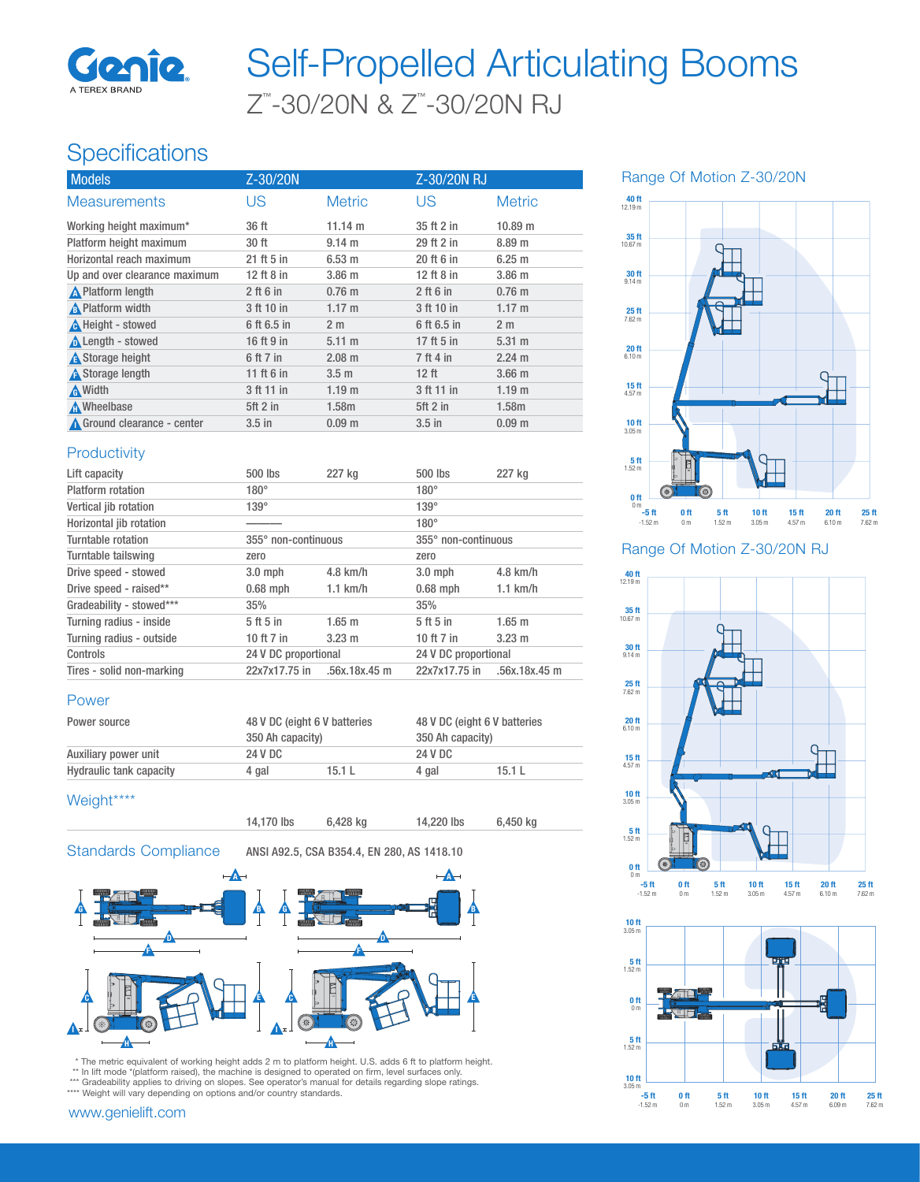

# Z™ -30/20N & Z™ -30/20N RJ Self-Propelled Articulating Booms

## **Specifications**

| <b>Models</b>                 | Z-30/20N    |                   | Z-30/20N RJ |                   |
|-------------------------------|-------------|-------------------|-------------|-------------------|
| <b>Measurements</b>           | US          | <b>Metric</b>     | US          | <b>Metric</b>     |
| Working height maximum*       | 36 ft       | $11.14 \text{ m}$ | 35 ft 2 in  | 10.89 m           |
| Platform height maximum       | 30 ft       | $9.14 \text{ m}$  | 29 ft 2 in  | 8.89 <sub>m</sub> |
| Horizontal reach maximum      | 21 ft 5 in  | 6.53 m            | 20 ft 6 in  | 6.25 m            |
| Up and over clearance maximum | 12 ft 8 in  | $3.86$ m          | 12 ft 8 in  | $3.86$ m          |
| <b>A</b> Platform length      | $2$ ft 6 in | $0.76$ m          | $2$ ft 6 in | $0.76$ m          |
| A Platform width              | 3 ft 10 in  | $1.17 \text{ m}$  | 3 ft 10 in  | $1.17 \text{ m}$  |
| A Height - stowed             | 6 ft 6.5 in | 2 <sub>m</sub>    | 6 ft 6.5 in | 2 <sub>m</sub>    |
| <b>A</b> Length - stowed      | 16 ft 9 in  | $5.11 \text{ m}$  | 17 ft 5 in  | $5.31 \text{ m}$  |
| <b>A</b> Storage height       | 6 ft 7 in   | $2.08 \text{ m}$  | 7 ft 4 in   | $2.24 \text{ m}$  |
| <b>A</b> Storage length       | 11 ft 6 in  | 3.5 <sub>m</sub>  | $12$ ft     | 3.66 <sub>m</sub> |
| A Width                       | 3 ft 11 in  | 1.19 <sub>m</sub> | 3 ft 11 in  | 1.19 <sub>m</sub> |
| Mheelbase                     | $5ft$ 2 in  | 1.58m             | $5ft$ 2 in  | 1.58m             |
| Ground clearance - center     | $3.5$ in    | 0.09 <sub>m</sub> | $3.5$ in    | 0.09 <sub>m</sub> |
|                               |             |                   |             |                   |

### **Productivity**

| Lift capacity             | $500$ lbs                       | 227 kg           | $500$ lbs            | 227 kg           |
|---------------------------|---------------------------------|------------------|----------------------|------------------|
| Platform rotation         | $180^\circ$                     |                  | $180^\circ$          |                  |
| Vertical jib rotation     | $139^\circ$                     |                  | $139^\circ$          |                  |
| Horizontal jib rotation   |                                 |                  | $180^\circ$          |                  |
| Turntable rotation        | 355° non-continuous             |                  | 355° non-continuous  |                  |
| Turntable tailswing       | zero                            |                  | zero                 |                  |
| Drive speed - stowed      | $3.0$ mph                       | $4.8$ km/h       | $3.0$ mph            | $4.8$ km/h       |
| Drive speed - raised**    | $0.68$ mph                      | $1.1$ km/h       | $0.68$ mph           | $1.1$ km/h       |
| Gradeability - stowed***  | 35%                             |                  | 35%                  |                  |
| Turning radius - inside   | 5 <sup>th</sup> 5 <sup>th</sup> | $1.65 \text{ m}$ | $5th$ 5 in           | $1.65 \; m$      |
| Turning radius - outside  | 10 ft 7 in                      | $3.23 \text{ m}$ | 10 ft $7$ in         | $3.23 \text{ m}$ |
| Controls                  | 24 V DC proportional            |                  | 24 V DC proportional |                  |
| Tires - solid non-marking | 22x7x17.75 in                   | .56x.18x.45 m    | 22x7x17.75 in        | .56x.18x.45 m    |

#### Power

| Power source            | 48 V DC (eight 6 V batteries<br>350 Ah capacity) |        | 48 V DC (eight 6 V batteries |       |
|-------------------------|--------------------------------------------------|--------|------------------------------|-------|
|                         |                                                  |        | 350 Ah capacity)             |       |
| Auxiliary power unit    | 24 V DC                                          |        | 24 V DC                      |       |
| Hydraulic tank capacity | 4 gal                                            | 15.1 L | 4 gal                        | 15.1L |

#### Weight\*\*\*\*

14,170 lbs 6,428 kg 14,220 lbs 6,450 kg

Standards Compliance ANSI A92.5, CSA B354.4, EN 280, AS 1418.10



 \* The metric equivalent of working height adds 2 m to platform height. U.S. adds 6 ft to platform height. \*\* In lift mode \*(platform raised), the machine is designed to operated on firm, level surfaces only. \*\*\* Gradeability applies to driving on slopes. See operator's manual for details regarding slope ratings.<br>\*\*\*\* Weight will vary depending on options and/or country standards.

#### www.genielift.com





Range Of Motion Z-30/20N RJ



-5 ft 0 ft 5 ft 10 ft 15 ft 20 ft 25 ft -1.52 m 0 m 1.52 m 3.05 m 4.57 m 6.09 m 7.62 m

 $5$  ft<br>1.52 m

 $10 \text{ ft}$ <br>3.05 m